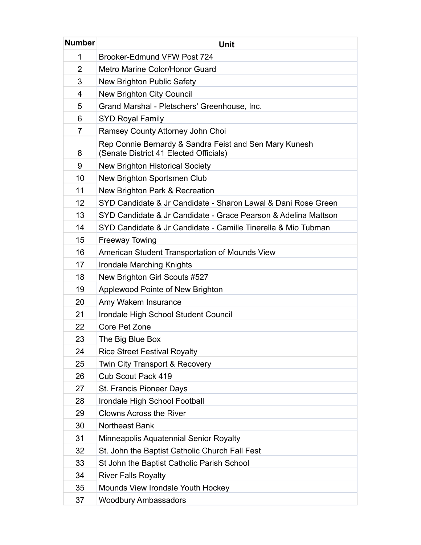| <b>Number</b> | <b>Unit</b>                                                                                      |
|---------------|--------------------------------------------------------------------------------------------------|
| 1             | Brooker-Edmund VFW Post 724                                                                      |
| 2             | Metro Marine Color/Honor Guard                                                                   |
| 3             | New Brighton Public Safety                                                                       |
| 4             | New Brighton City Council                                                                        |
| 5             | Grand Marshal - Pletschers' Greenhouse, Inc.                                                     |
| 6             | <b>SYD Royal Family</b>                                                                          |
| 7             | Ramsey County Attorney John Choi                                                                 |
| 8             | Rep Connie Bernardy & Sandra Feist and Sen Mary Kunesh<br>(Senate District 41 Elected Officials) |
| 9             | <b>New Brighton Historical Society</b>                                                           |
| 10            | New Brighton Sportsmen Club                                                                      |
| 11            | New Brighton Park & Recreation                                                                   |
| 12            | SYD Candidate & Jr Candidate - Sharon Lawal & Dani Rose Green                                    |
| 13            | SYD Candidate & Jr Candidate - Grace Pearson & Adelina Mattson                                   |
| 14            | SYD Candidate & Jr Candidate - Camille Tinerella & Mio Tubman                                    |
| 15            | <b>Freeway Towing</b>                                                                            |
| 16            | American Student Transportation of Mounds View                                                   |
| 17            | Irondale Marching Knights                                                                        |
| 18            | New Brighton Girl Scouts #527                                                                    |
| 19            | Applewood Pointe of New Brighton                                                                 |
| 20            | Amy Wakem Insurance                                                                              |
| 21            | Irondale High School Student Council                                                             |
| 22            | Core Pet Zone                                                                                    |
| 23            | The Big Blue Box                                                                                 |
| 24            | <b>Rice Street Festival Royalty</b>                                                              |
| 25            | Twin City Transport & Recovery                                                                   |
| 26            | Cub Scout Pack 419                                                                               |
| 27            | St. Francis Pioneer Days                                                                         |
| 28            | Irondale High School Football                                                                    |
| 29            | <b>Clowns Across the River</b>                                                                   |
| 30            | Northeast Bank                                                                                   |
| 31            | Minneapolis Aquatennial Senior Royalty                                                           |
| 32            | St. John the Baptist Catholic Church Fall Fest                                                   |
| 33            | St John the Baptist Catholic Parish School                                                       |
| 34            | <b>River Falls Royalty</b>                                                                       |
| 35            | Mounds View Irondale Youth Hockey                                                                |
| 37            | <b>Woodbury Ambassadors</b>                                                                      |